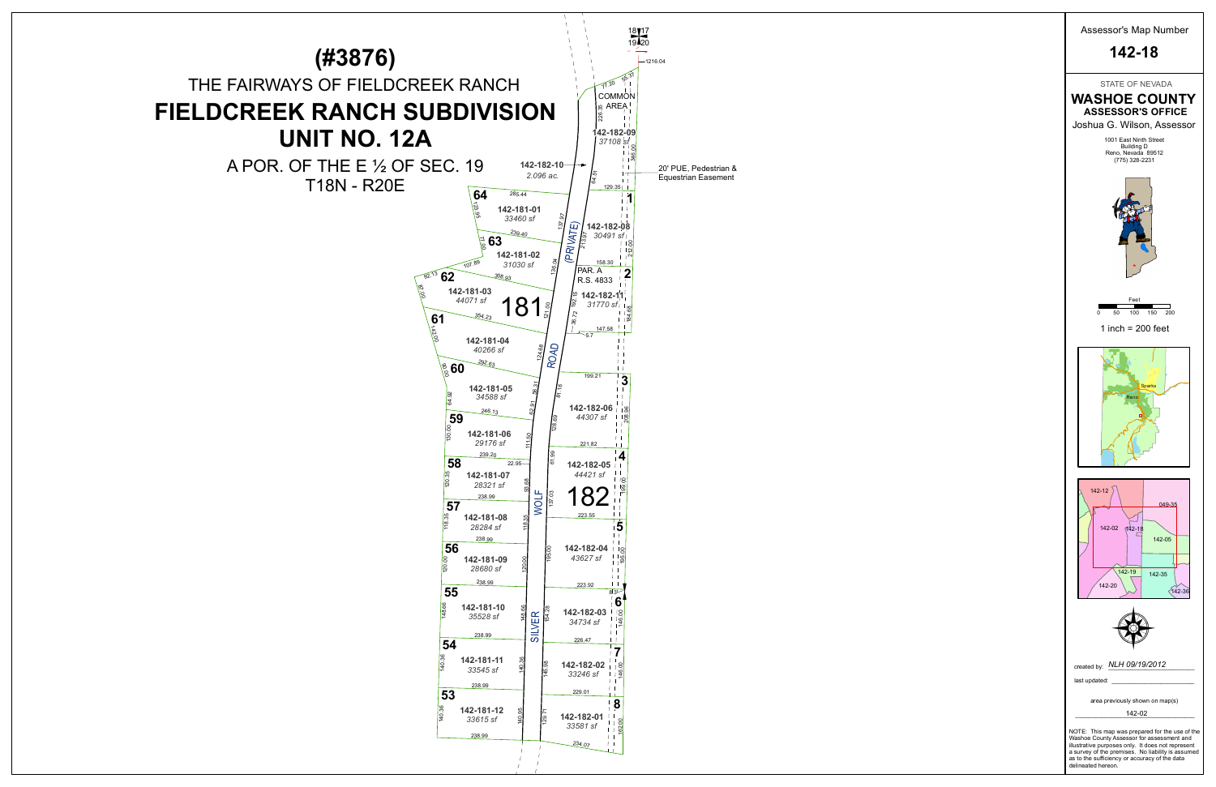

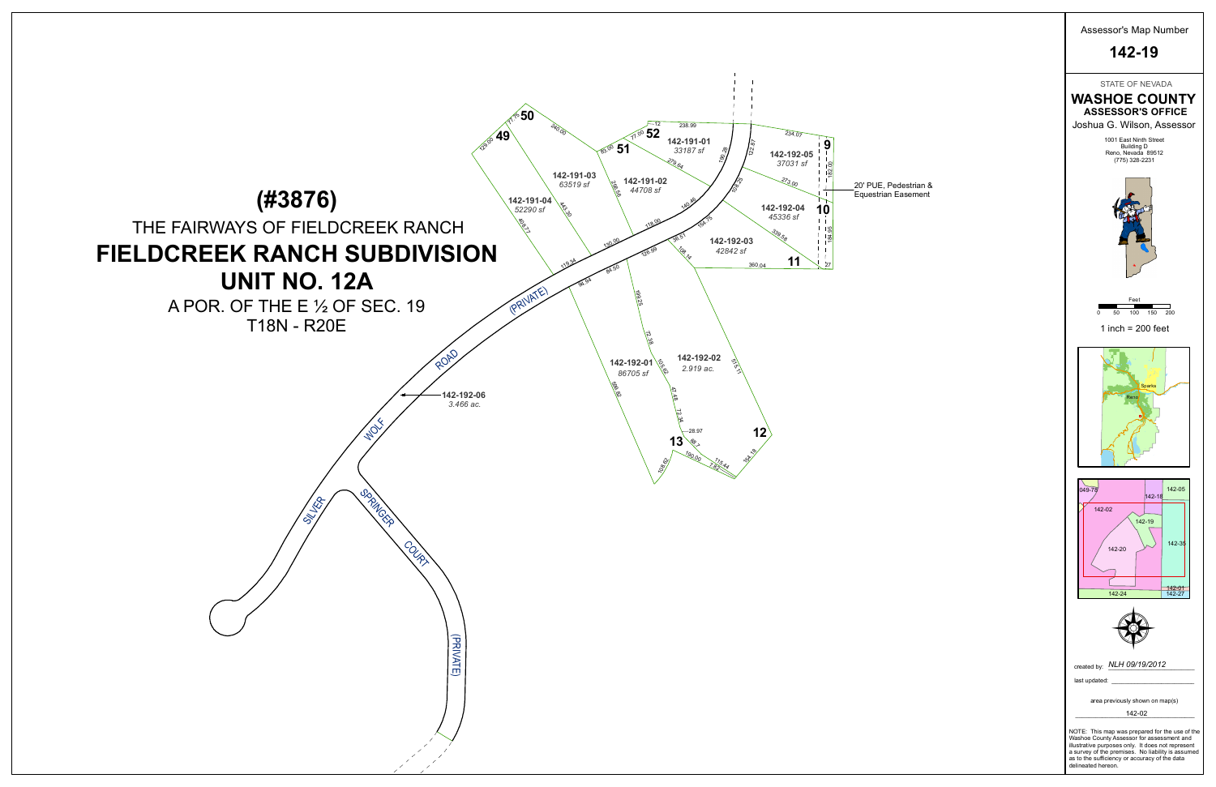

STATE OF NEVADA



delineated hereon.

Assessor's Map Number **142-19**